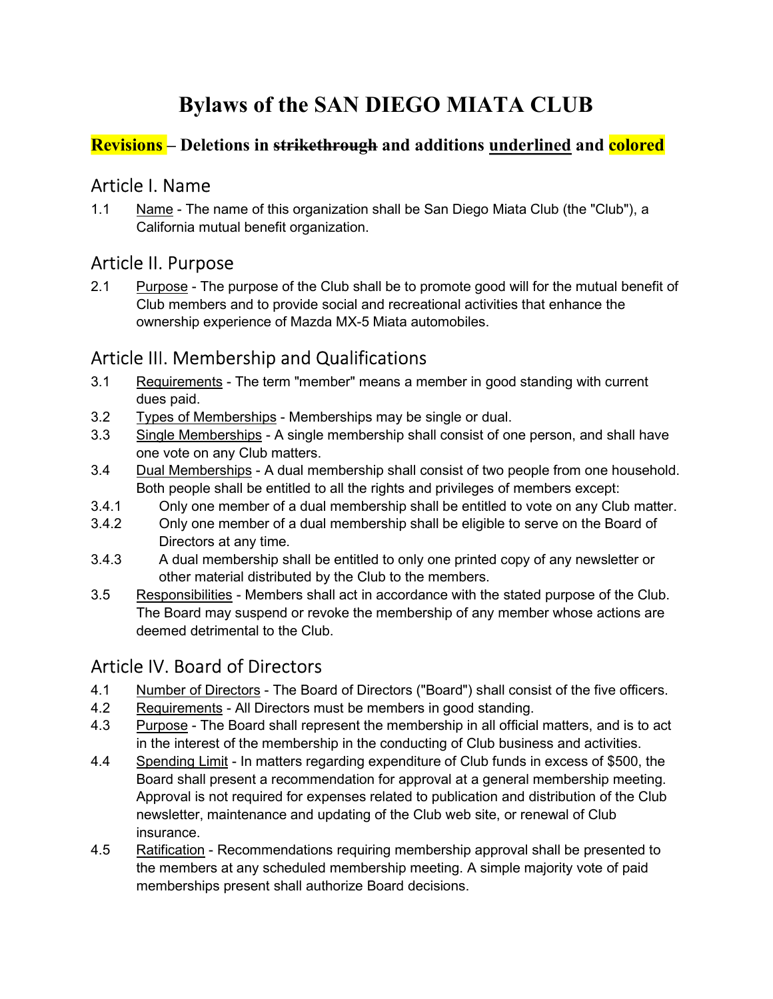# Bylaws of the SAN DIEGO MIATA CLUB

#### Revisions – Deletions in strikethrough and additions underlined and colored

### Article I. Name

1.1 Name - The name of this organization shall be San Diego Miata Club (the "Club"), a California mutual benefit organization.

# Article II. Purpose

2.1 Purpose - The purpose of the Club shall be to promote good will for the mutual benefit of Club members and to provide social and recreational activities that enhance the ownership experience of Mazda MX-5 Miata automobiles.

# Article III. Membership and Qualifications

- 3.1 Requirements The term "member" means a member in good standing with current dues paid.
- 3.2 Types of Memberships Memberships may be single or dual.
- 3.3 Single Memberships A single membership shall consist of one person, and shall have one vote on any Club matters.
- 3.4 Dual Memberships A dual membership shall consist of two people from one household. Both people shall be entitled to all the rights and privileges of members except:
- 3.4.1 Only one member of a dual membership shall be entitled to vote on any Club matter.
- 3.4.2 Only one member of a dual membership shall be eligible to serve on the Board of Directors at any time.
- 3.4.3 A dual membership shall be entitled to only one printed copy of any newsletter or other material distributed by the Club to the members.
- 3.5 Responsibilities Members shall act in accordance with the stated purpose of the Club. The Board may suspend or revoke the membership of any member whose actions are deemed detrimental to the Club.

# Article IV. Board of Directors

- 4.1 Number of Directors The Board of Directors ("Board") shall consist of the five officers.
- 4.2 Requirements All Directors must be members in good standing.
- 4.3 Purpose The Board shall represent the membership in all official matters, and is to act in the interest of the membership in the conducting of Club business and activities.
- 4.4 Spending Limit In matters regarding expenditure of Club funds in excess of \$500, the Board shall present a recommendation for approval at a general membership meeting. Approval is not required for expenses related to publication and distribution of the Club newsletter, maintenance and updating of the Club web site, or renewal of Club insurance.
- 4.5 Ratification Recommendations requiring membership approval shall be presented to the members at any scheduled membership meeting. A simple majority vote of paid memberships present shall authorize Board decisions.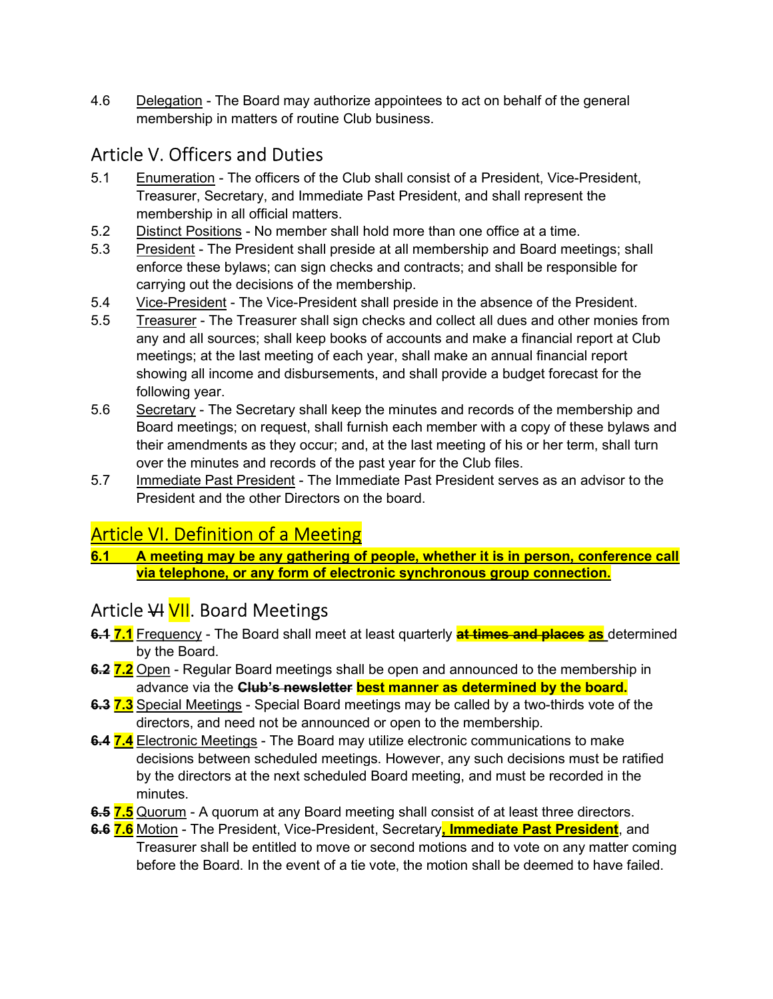4.6 Delegation - The Board may authorize appointees to act on behalf of the general membership in matters of routine Club business.

### Article V. Officers and Duties

- 5.1 Enumeration The officers of the Club shall consist of a President, Vice-President, Treasurer, Secretary, and Immediate Past President, and shall represent the membership in all official matters.
- 5.2 Distinct Positions No member shall hold more than one office at a time.
- 5.3 President The President shall preside at all membership and Board meetings; shall enforce these bylaws; can sign checks and contracts; and shall be responsible for carrying out the decisions of the membership.
- 5.4 Vice-President The Vice-President shall preside in the absence of the President.
- 5.5 Treasurer The Treasurer shall sign checks and collect all dues and other monies from any and all sources; shall keep books of accounts and make a financial report at Club meetings; at the last meeting of each year, shall make an annual financial report showing all income and disbursements, and shall provide a budget forecast for the following year.
- 5.6 Secretary The Secretary shall keep the minutes and records of the membership and Board meetings; on request, shall furnish each member with a copy of these bylaws and their amendments as they occur; and, at the last meeting of his or her term, shall turn over the minutes and records of the past year for the Club files.
- 5.7 Immediate Past President The Immediate Past President serves as an advisor to the President and the other Directors on the board.

# Article VI. Definition of a Meeting

6.1 A meeting may be any gathering of people, whether it is in person, conference call via telephone, or any form of electronic synchronous group connection.

# Article VI VII. Board Meetings

- 6.4 7.1 Frequency The Board shall meet at least quarterly at times and places as determined by the Board.
- 6.2 7.2 Open Regular Board meetings shall be open and announced to the membership in advance via the **Club's newsletter best manner as determined by the board.**
- 6.3 7.3 Special Meetings Special Board meetings may be called by a two-thirds vote of the directors, and need not be announced or open to the membership.
- 6.4 7.4 Electronic Meetings The Board may utilize electronic communications to make decisions between scheduled meetings. However, any such decisions must be ratified by the directors at the next scheduled Board meeting, and must be recorded in the minutes.
- 6.5 7.5 Quorum A quorum at any Board meeting shall consist of at least three directors.
- 6.6 7.6 Motion The President, Vice-President, Secretary, *Immediate Past President*, and Treasurer shall be entitled to move or second motions and to vote on any matter coming before the Board. In the event of a tie vote, the motion shall be deemed to have failed.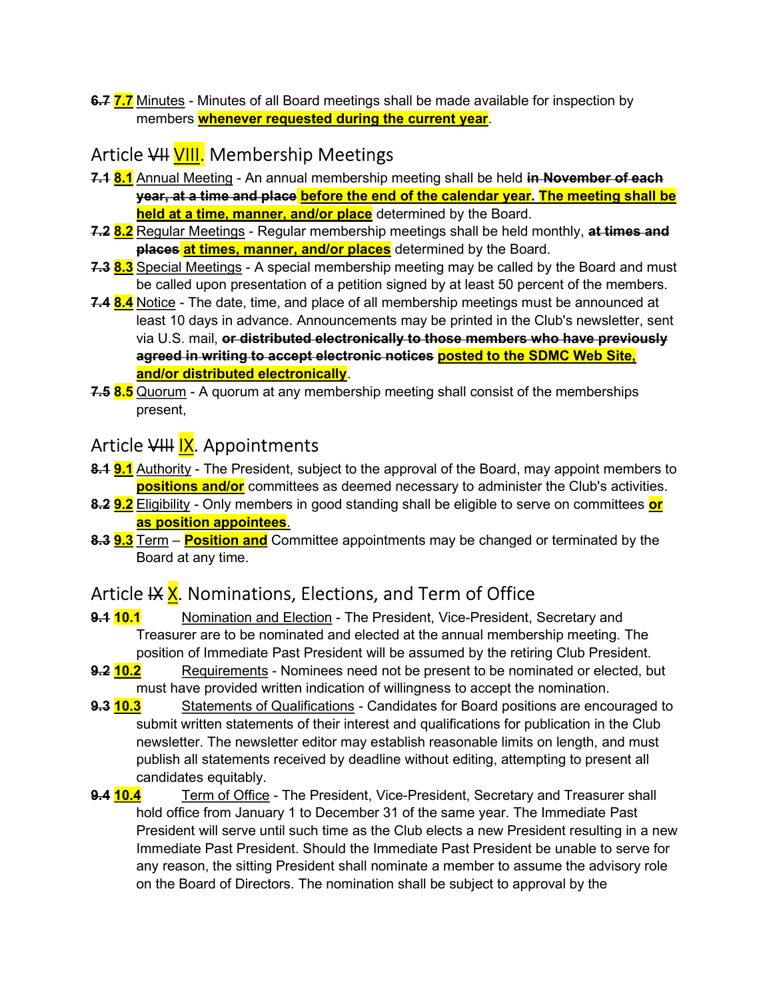6.7 7.7 Minutes - Minutes of all Board meetings shall be made available for inspection by members whenever requested during the current year.

#### Article VII VIII. Membership Meetings

- 7.1 8.1 Annual Meeting An annual membership meeting shall be held in November of each year, at a time and place before the end of the calendar year. The meeting shall be held at a time, manner, and/or place determined by the Board.
- 7.2 8.2 Regular Meetings Regular membership meetings shall be held monthly, at times and places at times, manner, and/or places determined by the Board.
- 7.3 8.3 Special Meetings A special membership meeting may be called by the Board and must be called upon presentation of a petition signed by at least 50 percent of the members.
- 7.4 8.4 Notice The date, time, and place of all membership meetings must be announced at least 10 days in advance. Announcements may be printed in the Club's newsletter, sent via U.S. mail, or distributed electronically to those members who have previously agreed in writing to accept electronic notices posted to the SDMC Web Site, and/or distributed electronically.
- 7.5 8.5 Quorum A quorum at any membership meeting shall consist of the memberships present,

# Article VIII IX. Appointments

- 8.1 9.1 Authority The President, subject to the approval of the Board, may appoint members to **positions and/or** committees as deemed necessary to administer the Club's activities.
- 8.2 9.2 Eligibility Only members in good standing shall be eligible to serve on committees or as position appointees.
- 8.3 **9.3** Term **Position and** Committee appointments may be changed or terminated by the Board at any time.

# Article IX X. Nominations, Elections, and Term of Office

- 9.1 10.1 Nomination and Election The President, Vice-President, Secretary and Treasurer are to be nominated and elected at the annual membership meeting. The position of Immediate Past President will be assumed by the retiring Club President.
- **9.2 10.2** Requirements Nominees need not be present to be nominated or elected, but must have provided written indication of willingness to accept the nomination.
- **9.3 10.3** Statements of Qualifications Candidates for Board positions are encouraged to submit written statements of their interest and qualifications for publication in the Club newsletter. The newsletter editor may establish reasonable limits on length, and must publish all statements received by deadline without editing, attempting to present all candidates equitably.
- **9.4 10.4** Term of Office The President, Vice-President, Secretary and Treasurer shall hold office from January 1 to December 31 of the same year. The Immediate Past President will serve until such time as the Club elects a new President resulting in a new Immediate Past President. Should the Immediate Past President be unable to serve for any reason, the sitting President shall nominate a member to assume the advisory role on the Board of Directors. The nomination shall be subject to approval by the